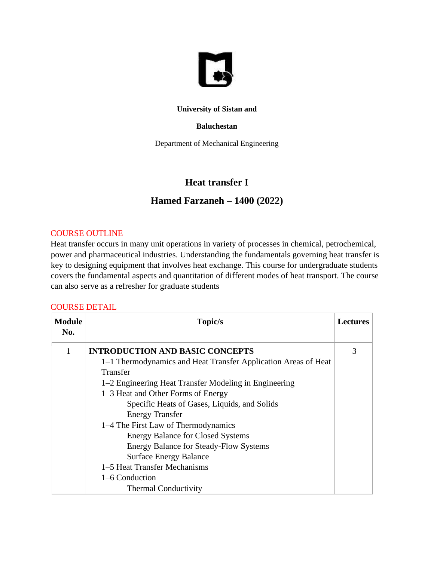

#### **University of Sistan and**

#### **Baluchestan**

Department of Mechanical Engineering

# **Heat transfer I**

## **Hamed Farzaneh – 1400 (2022)**

#### COURSE OUTLINE

Heat transfer occurs in many unit operations in variety of processes in chemical, petrochemical, power and pharmaceutical industries. Understanding the fundamentals governing heat transfer is key to designing equipment that involves heat exchange. This course for undergraduate students covers the fundamental aspects and quantitation of different modes of heat transport. The course can also serve as a refresher for graduate students

#### COURSE DETAIL

| <b>Module</b><br>No. | Topic/s                                                        | <b>Lectures</b> |
|----------------------|----------------------------------------------------------------|-----------------|
| 1                    | <b>INTRODUCTION AND BASIC CONCEPTS</b>                         | 3               |
|                      | 1–1 Thermodynamics and Heat Transfer Application Areas of Heat |                 |
|                      | Transfer                                                       |                 |
|                      | 1–2 Engineering Heat Transfer Modeling in Engineering          |                 |
|                      | 1–3 Heat and Other Forms of Energy                             |                 |
|                      | Specific Heats of Gases, Liquids, and Solids                   |                 |
|                      | <b>Energy Transfer</b>                                         |                 |
|                      | 1–4 The First Law of Thermodynamics                            |                 |
|                      | <b>Energy Balance for Closed Systems</b>                       |                 |
|                      | <b>Energy Balance for Steady-Flow Systems</b>                  |                 |
|                      | <b>Surface Energy Balance</b>                                  |                 |
|                      | 1–5 Heat Transfer Mechanisms                                   |                 |
|                      | 1–6 Conduction                                                 |                 |
|                      | <b>Thermal Conductivity</b>                                    |                 |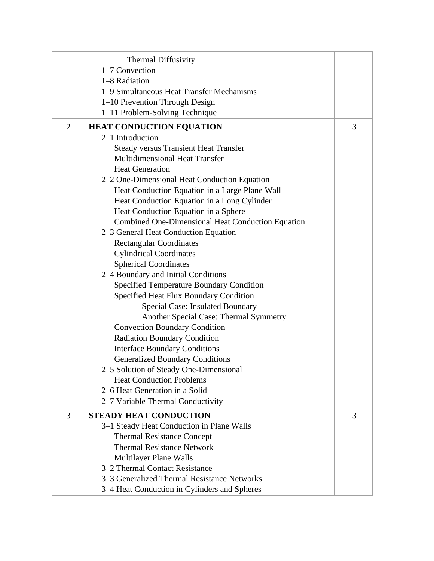|                | <b>Thermal Diffusivity</b><br>1-7 Convection<br>1-8 Radiation<br>1–9 Simultaneous Heat Transfer Mechanisms<br>1-10 Prevention Through Design |   |
|----------------|----------------------------------------------------------------------------------------------------------------------------------------------|---|
|                | 1–11 Problem-Solving Technique                                                                                                               |   |
| $\overline{2}$ | <b>HEAT CONDUCTION EQUATION</b>                                                                                                              | 3 |
|                | 2-1 Introduction                                                                                                                             |   |
|                | <b>Steady versus Transient Heat Transfer</b>                                                                                                 |   |
|                | Multidimensional Heat Transfer                                                                                                               |   |
|                | <b>Heat Generation</b>                                                                                                                       |   |
|                | 2–2 One-Dimensional Heat Conduction Equation                                                                                                 |   |
|                | Heat Conduction Equation in a Large Plane Wall                                                                                               |   |
|                | Heat Conduction Equation in a Long Cylinder                                                                                                  |   |
|                | Heat Conduction Equation in a Sphere                                                                                                         |   |
|                | Combined One-Dimensional Heat Conduction Equation                                                                                            |   |
|                | 2–3 General Heat Conduction Equation                                                                                                         |   |
|                | <b>Rectangular Coordinates</b>                                                                                                               |   |
|                | <b>Cylindrical Coordinates</b>                                                                                                               |   |
|                | <b>Spherical Coordinates</b>                                                                                                                 |   |
|                | 2–4 Boundary and Initial Conditions                                                                                                          |   |
|                | <b>Specified Temperature Boundary Condition</b>                                                                                              |   |
|                | Specified Heat Flux Boundary Condition                                                                                                       |   |
|                | Special Case: Insulated Boundary<br>Another Special Case: Thermal Symmetry                                                                   |   |
|                | <b>Convection Boundary Condition</b>                                                                                                         |   |
|                | <b>Radiation Boundary Condition</b>                                                                                                          |   |
|                | <b>Interface Boundary Conditions</b>                                                                                                         |   |
|                | <b>Generalized Boundary Conditions</b>                                                                                                       |   |
|                | 2-5 Solution of Steady One-Dimensional                                                                                                       |   |
|                | <b>Heat Conduction Problems</b>                                                                                                              |   |
|                | 2–6 Heat Generation in a Solid                                                                                                               |   |
|                | 2–7 Variable Thermal Conductivity                                                                                                            |   |
| 3              | <b>STEADY HEAT CONDUCTION</b>                                                                                                                | 3 |
|                | 3–1 Steady Heat Conduction in Plane Walls                                                                                                    |   |
|                | <b>Thermal Resistance Concept</b>                                                                                                            |   |
|                | <b>Thermal Resistance Network</b>                                                                                                            |   |
|                | <b>Multilayer Plane Walls</b>                                                                                                                |   |
|                | 3-2 Thermal Contact Resistance                                                                                                               |   |
|                | 3–3 Generalized Thermal Resistance Networks                                                                                                  |   |
|                | 3–4 Heat Conduction in Cylinders and Spheres                                                                                                 |   |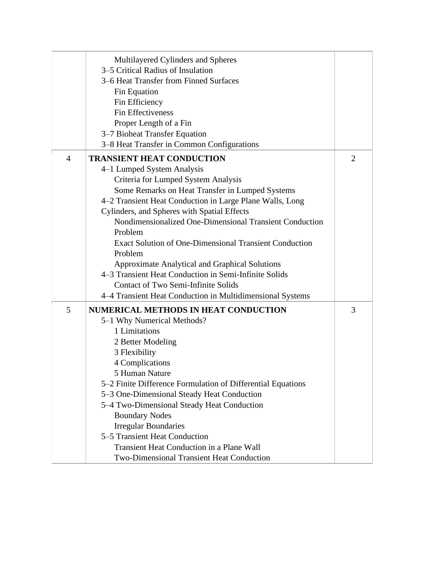|                | Multilayered Cylinders and Spheres<br>3–5 Critical Radius of Insulation<br>3–6 Heat Transfer from Finned Surfaces<br>Fin Equation<br>Fin Efficiency<br>Fin Effectiveness<br>Proper Length of a Fin<br>3–7 Bioheat Transfer Equation<br>3-8 Heat Transfer in Common Configurations                                                                                                                                                                                                                                                                                                              |                |
|----------------|------------------------------------------------------------------------------------------------------------------------------------------------------------------------------------------------------------------------------------------------------------------------------------------------------------------------------------------------------------------------------------------------------------------------------------------------------------------------------------------------------------------------------------------------------------------------------------------------|----------------|
| $\overline{4}$ | <b>TRANSIENT HEAT CONDUCTION</b><br>4–1 Lumped System Analysis<br>Criteria for Lumped System Analysis<br>Some Remarks on Heat Transfer in Lumped Systems<br>4–2 Transient Heat Conduction in Large Plane Walls, Long<br>Cylinders, and Spheres with Spatial Effects<br>Nondimensionalized One-Dimensional Transient Conduction<br>Problem<br><b>Exact Solution of One-Dimensional Transient Conduction</b><br>Problem<br>Approximate Analytical and Graphical Solutions<br>4–3 Transient Heat Conduction in Semi-Infinite Solids<br><b>Contact of Two Semi-Infinite Solids</b>                 | $\overline{2}$ |
| 5              | 4–4 Transient Heat Conduction in Multidimensional Systems<br><b>NUMERICAL METHODS IN HEAT CONDUCTION</b><br>5-1 Why Numerical Methods?<br>1 Limitations<br>2 Better Modeling<br>3 Flexibility<br>4 Complications<br>5 Human Nature<br>5-2 Finite Difference Formulation of Differential Equations<br>5-3 One-Dimensional Steady Heat Conduction<br>5–4 Two-Dimensional Steady Heat Conduction<br><b>Boundary Nodes</b><br><b>Irregular Boundaries</b><br>5–5 Transient Heat Conduction<br><b>Transient Heat Conduction in a Plane Wall</b><br><b>Two-Dimensional Transient Heat Conduction</b> | 3              |